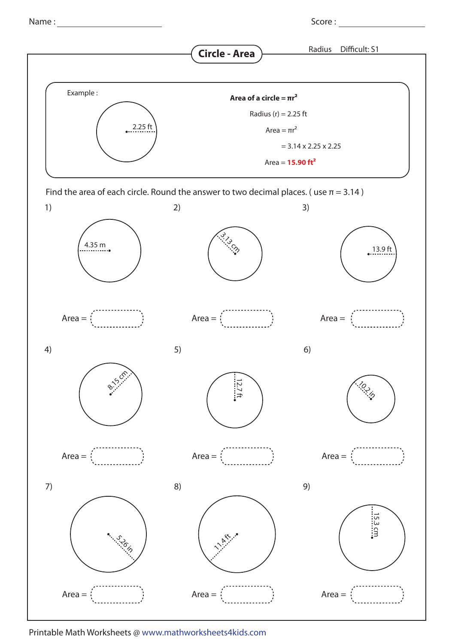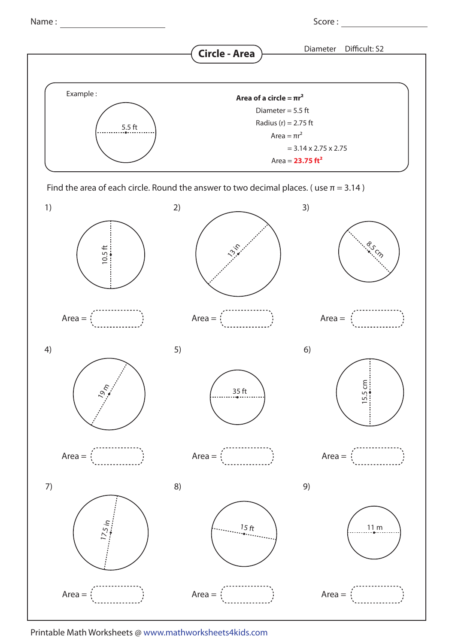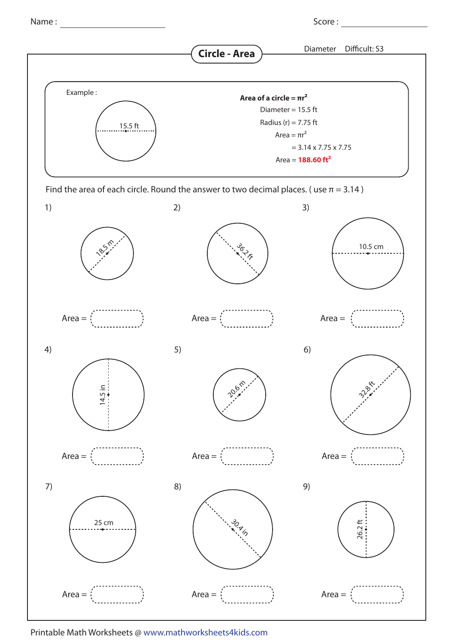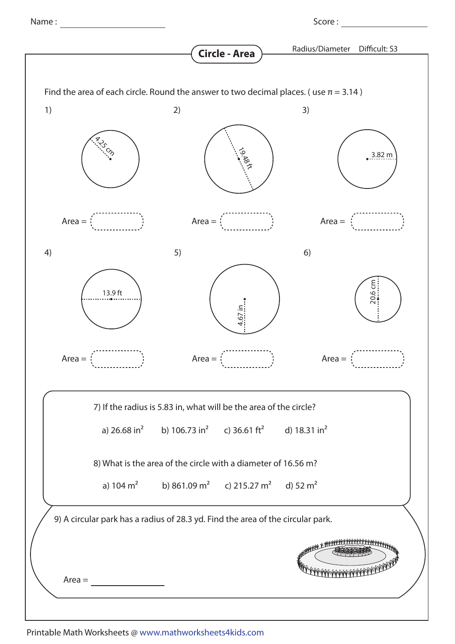|          |    | <b>Circle - Area</b>                                                                             | Radius/Diameter | Difficult: S3    |
|----------|----|--------------------------------------------------------------------------------------------------|-----------------|------------------|
|          |    | Find the area of each circle. Round the answer to two decimal places. (use $\pi = 3.14$ )        |                 |                  |
| 1)       | 2) |                                                                                                  | 3)              |                  |
|          |    | 19.88 ft                                                                                         |                 | $3.82 \text{ m}$ |
| $Area =$ |    | $Area =$                                                                                         | $Area =$        |                  |
| 4)       | 5) |                                                                                                  | 6)              |                  |
| 13.9 ft  |    | 4.67 in                                                                                          |                 | 20.6 cm          |
| $Area =$ |    | $Area =$                                                                                         | $Area =$        |                  |
|          |    | 7) If the radius is 5.83 in, what will be the area of the circle?                                |                 |                  |
|          |    | a) $26.68 \text{ in}^2$ b) $106.73 \text{ in}^2$ c) $36.61 \text{ ft}^2$ d) $18.31 \text{ in}^2$ |                 |                  |
|          |    | 8) What is the area of the circle with a diameter of 16.56 m?                                    |                 |                  |
|          |    | a) $104 \text{ m}^2$ b) $861.09 \text{ m}^2$ c) $215.27 \text{ m}^2$ d) $52 \text{ m}^2$         |                 |                  |
|          |    | 9) A circular park has a radius of 28.3 yd. Find the area of the circular park.                  |                 |                  |
| $Area =$ |    |                                                                                                  |                 |                  |
|          |    |                                                                                                  |                 |                  |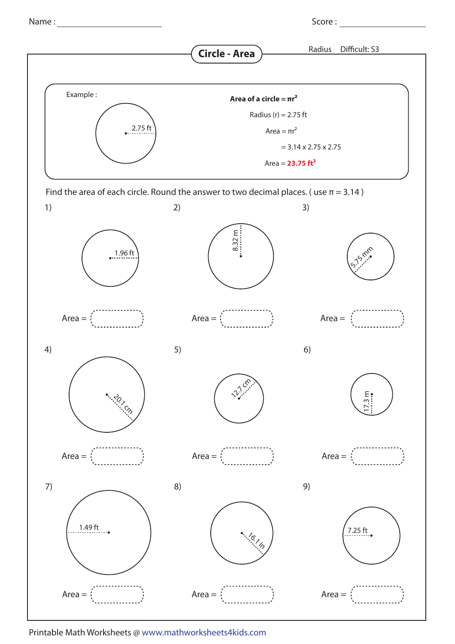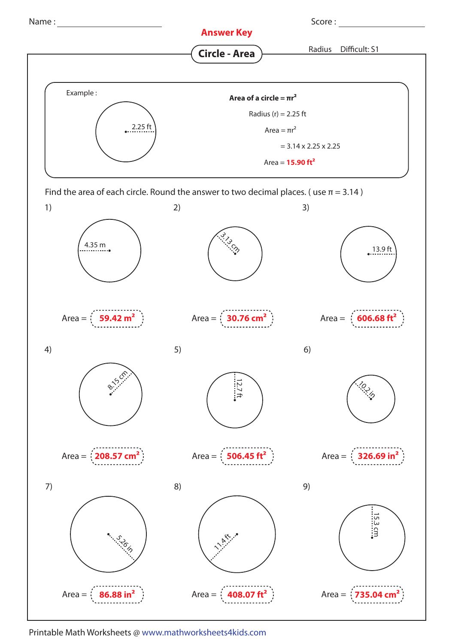

Printable Math Worksheets @ www.mathworksheets4kids.com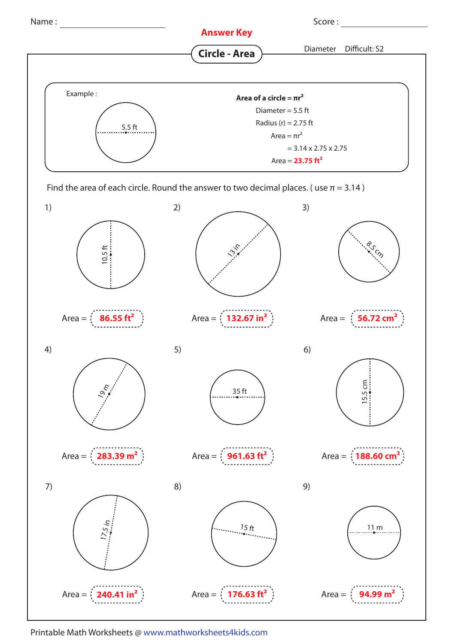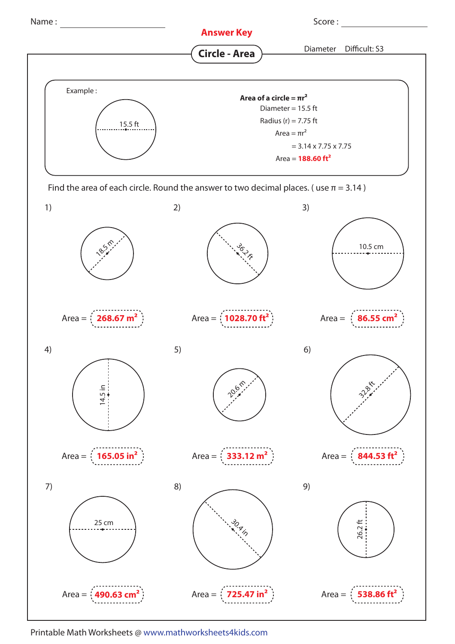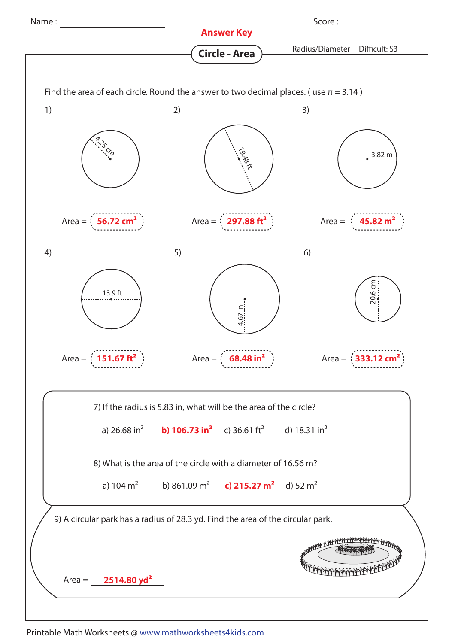

Printable Math Worksheets @ www.mathworksheets4kids.com